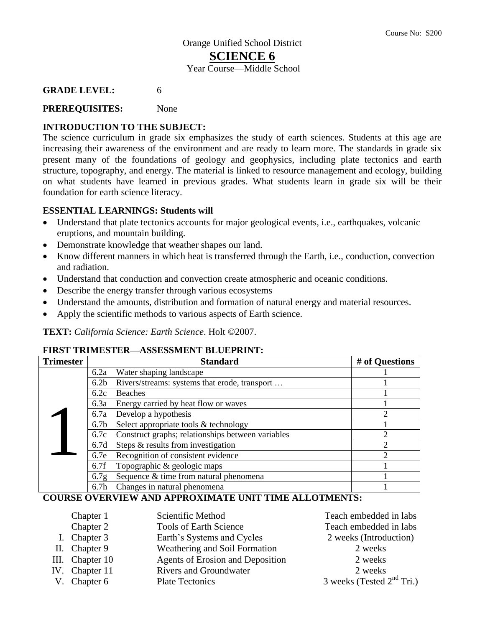**GRADE LEVEL:** 6

### **PREREQUISITES:** None

### **INTRODUCTION TO THE SUBJECT:**

The science curriculum in grade six emphasizes the study of earth sciences. Students at this age are increasing their awareness of the environment and are ready to learn more. The standards in grade six present many of the foundations of geology and geophysics, including plate tectonics and earth structure, topography, and energy. The material is linked to resource management and ecology, building on what students have learned in previous grades. What students learn in grade six will be their foundation for earth science literacy.

### **ESSENTIAL LEARNINGS: Students will**

- Understand that plate tectonics accounts for major geological events, i.e., earthquakes, volcanic eruptions, and mountain building.
- Demonstrate knowledge that weather shapes our land.
- Know different manners in which heat is transferred through the Earth, i.e., conduction, convection and radiation.
- Understand that conduction and convection create atmospheric and oceanic conditions.
- Describe the energy transfer through various ecosystems
- Understand the amounts, distribution and formation of natural energy and material resources.
- Apply the scientific methods to various aspects of Earth science.

**TEXT:** *California Science: Earth Science*. Holt ©2007.

### **FIRST TRIMESTER—ASSESSMENT BLUEPRINT:**

| <b>Trimester</b> | <b>Standard</b>  |                                                   | # of Questions              |
|------------------|------------------|---------------------------------------------------|-----------------------------|
|                  | 6.2a             | Water shaping landscape                           |                             |
|                  | 6.2 <sub>b</sub> | Rivers/streams: systems that erode, transport     |                             |
|                  | 6.2c             | <b>Beaches</b>                                    |                             |
|                  | 6.3a             | Energy carried by heat flow or waves              |                             |
|                  | 6.7a             | Develop a hypothesis                              | 2                           |
|                  | 6.7 <sub>b</sub> | Select appropriate tools & technology             |                             |
|                  | 6.7c             | Construct graphs; relationships between variables | ◠                           |
|                  | 6.7d             | Steps & results from investigation                | $\mathcal{D}$               |
|                  | 6.7e             | Recognition of consistent evidence                | $\mathcal{D}_{\mathcal{A}}$ |
|                  | 6.7f             | Topographic & geologic maps                       |                             |
|                  | 6.7 <sub>g</sub> | Sequence & time from natural phenomena            |                             |
|                  | 6.7 <sub>h</sub> | Changes in natural phenomena                      |                             |

### **COURSE OVERVIEW AND APPROXIMATE UNIT TIME ALLOTMENTS:**

| Chapter 1       | Scientific Method                | Teach embedded in labs      |
|-----------------|----------------------------------|-----------------------------|
| Chapter 2       | <b>Tools of Earth Science</b>    | Teach embedded in labs      |
| I. Chapter 3    | Earth's Systems and Cycles       | 2 weeks (Introduction)      |
| II. Chapter 9   | Weathering and Soil Formation    | 2 weeks                     |
| III. Chapter 10 | Agents of Erosion and Deposition | 2 weeks                     |
| IV. Chapter 11  | <b>Rivers and Groundwater</b>    | 2 weeks                     |
| V. Chapter 6    | <b>Plate Tectonics</b>           | 3 weeks (Tested $2nd$ Tri.) |
|                 |                                  |                             |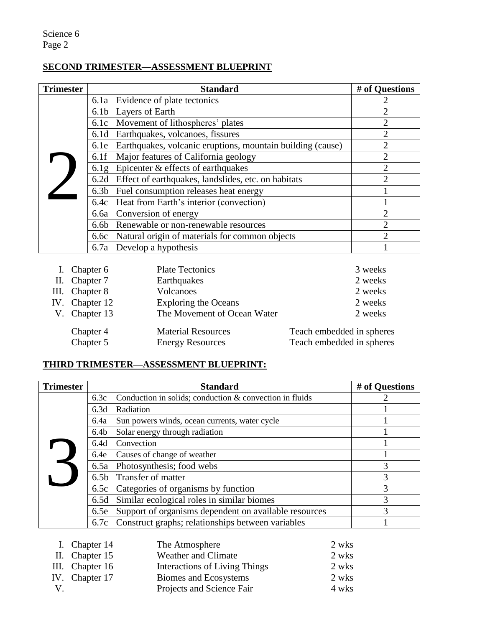## **SECOND TRIMESTER—ASSESSMENT BLUEPRINT**

| <b>Trimester</b> | <b>Standard</b>                                                    | # of Questions              |
|------------------|--------------------------------------------------------------------|-----------------------------|
|                  | 6.1a Evidence of plate tectonics                                   |                             |
|                  | Layers of Earth<br>6.1 <sub>b</sub>                                | 2                           |
|                  | 6.1c Movement of lithospheres' plates                              | $\overline{2}$              |
|                  | Earthquakes, volcanoes, fissures<br>6.1d                           | $\overline{2}$              |
|                  | Earthquakes, volcanic eruptions, mountain building (cause)<br>6.1e | $\overline{2}$              |
|                  | Major features of California geology<br>6.1f                       | $\overline{2}$              |
|                  | 6.1g Epicenter $&$ effects of earthquakes                          | $\overline{2}$              |
|                  | 6.2d Effect of earthquakes, landslides, etc. on habitats           |                             |
|                  | Fuel consumption releases heat energy<br>6.3 <sub>b</sub>          |                             |
|                  | 6.4c Heat from Earth's interior (convection)                       |                             |
|                  | Conversion of energy<br>6.6a                                       | $\mathcal{D}_{\mathcal{L}}$ |
|                  | Renewable or non-renewable resources<br>6.6 <sub>b</sub>           | $\mathcal{D}_{\mathcal{A}}$ |
|                  | 6.6c Natural origin of materials for common objects                | C                           |
|                  | Develop a hypothesis<br>6.7a                                       |                             |

| I. Chapter 6           | <b>Plate Tectonics</b>                               | 3 weeks                                                |
|------------------------|------------------------------------------------------|--------------------------------------------------------|
| II. Chapter 7          | Earthquakes                                          | 2 weeks                                                |
| III. Chapter 8         | <b>Volcanoes</b>                                     | 2 weeks                                                |
| IV. Chapter 12         | <b>Exploring the Oceans</b>                          | 2 weeks                                                |
| V. Chapter 13          | The Movement of Ocean Water                          | 2 weeks                                                |
| Chapter 4<br>Chapter 5 | <b>Material Resources</b><br><b>Energy Resources</b> | Teach embedded in spheres<br>Teach embedded in spheres |

## **THIRD TRIMESTER—ASSESSMENT BLUEPRINT:**

| Conduction in solids; conduction $\&$ convection in fluids<br>6.3c<br>Radiation<br>6.3d<br>Sun powers winds, ocean currents, water cycle<br>6.4a |  |
|--------------------------------------------------------------------------------------------------------------------------------------------------|--|
|                                                                                                                                                  |  |
|                                                                                                                                                  |  |
|                                                                                                                                                  |  |
| Solar energy through radiation<br>6.4 <sub>b</sub>                                                                                               |  |
| Convection<br>6.4d                                                                                                                               |  |
| Causes of change of weather<br>6.4e                                                                                                              |  |
| 6.5a Photosynthesis; food webs<br>3                                                                                                              |  |
| 6.5b Transfer of matter<br>3                                                                                                                     |  |
| 6.5c Categories of organisms by function<br>3                                                                                                    |  |
| Similar ecological roles in similar biomes<br>3<br>6.5d                                                                                          |  |
| Support of organisms dependent on available resources<br>3<br>6.5e                                                                               |  |
| Construct graphs; relationships between variables<br>6.7c                                                                                        |  |

|              | I. Chapter 14   | The Atmosphere                | 2 wks |
|--------------|-----------------|-------------------------------|-------|
|              | II. Chapter 15  | <b>Weather and Climate</b>    | 2 wks |
|              | III. Chapter 16 | Interactions of Living Things | 2 wks |
|              | IV. Chapter 17  | Biomes and Ecosystems         | 2 wks |
| $\mathbf{V}$ |                 | Projects and Science Fair     | 4 wks |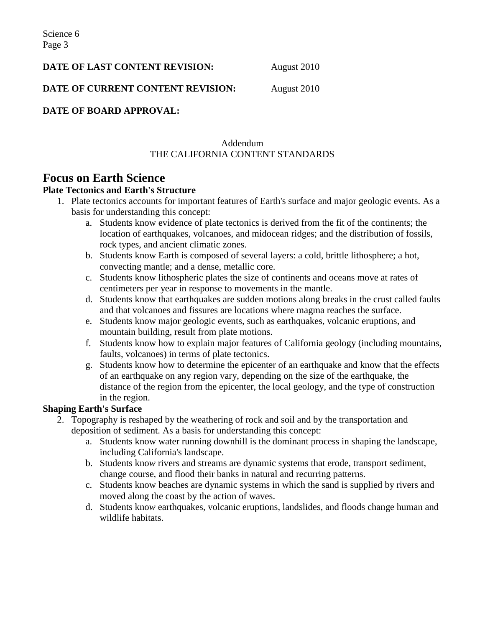**DATE OF LAST CONTENT REVISION:** August 2010

**DATE OF CURRENT CONTENT REVISION:** August 2010

**DATE OF BOARD APPROVAL:**

### Addendum THE CALIFORNIA CONTENT STANDARDS

## **Focus on Earth Science**

### **Plate Tectonics and Earth's Structure**

- 1. Plate tectonics accounts for important features of Earth's surface and major geologic events. As a basis for understanding this concept:
	- a. Students know evidence of plate tectonics is derived from the fit of the continents; the location of earthquakes, volcanoes, and midocean ridges; and the distribution of fossils, rock types, and ancient climatic zones.
	- b. Students know Earth is composed of several layers: a cold, brittle lithosphere; a hot, convecting mantle; and a dense, metallic core.
	- c. Students know lithospheric plates the size of continents and oceans move at rates of centimeters per year in response to movements in the mantle.
	- d. Students know that earthquakes are sudden motions along breaks in the crust called faults and that volcanoes and fissures are locations where magma reaches the surface.
	- e. Students know major geologic events, such as earthquakes, volcanic eruptions, and mountain building, result from plate motions.
	- f. Students know how to explain major features of California geology (including mountains, faults, volcanoes) in terms of plate tectonics.
	- g. Students know how to determine the epicenter of an earthquake and know that the effects of an earthquake on any region vary, depending on the size of the earthquake, the distance of the region from the epicenter, the local geology, and the type of construction in the region.

## **Shaping Earth's Surface**

- 2. Topography is reshaped by the weathering of rock and soil and by the transportation and deposition of sediment. As a basis for understanding this concept:
	- a. Students know water running downhill is the dominant process in shaping the landscape, including California's landscape.
	- b. Students kno*w* rivers and streams are dynamic systems that erode, transport sediment, change course, and flood their banks in natural and recurring patterns.
	- c. Students know beaches are dynamic systems in which the sand is supplied by rivers and moved along the coast by the action of waves.
	- d. Students kno*w* earthquakes, volcanic eruptions, landslides, and floods change human and wildlife habitats.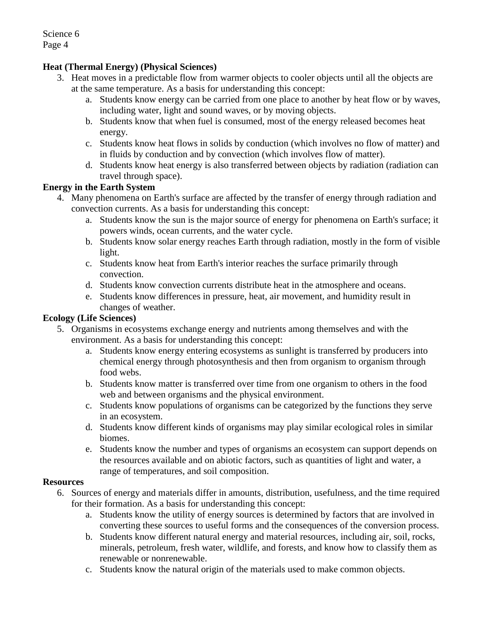Science 6 Page 4

## **Heat (Thermal Energy) (Physical Sciences)**

- 3. Heat moves in a predictable flow from warmer objects to cooler objects until all the objects are at the same temperature. As a basis for understanding this concept:
	- a. Students know energy can be carried from one place to another by heat flow or by waves, including water, light and sound waves, or by moving objects.
	- b. Students know that when fuel is consumed, most of the energy released becomes heat energy.
	- c. Students know heat flows in solids by conduction (which involves no flow of matter) and in fluids by conduction and by convection (which involves flow of matter).
	- d. Students know heat energy is also transferred between objects by radiation (radiation can travel through space).

## **Energy in the Earth System**

- 4. Many phenomena on Earth's surface are affected by the transfer of energy through radiation and convection currents. As a basis for understanding this concept:
	- a. Students know the sun is the major source of energy for phenomena on Earth's surface; it powers winds, ocean currents, and the water cycle.
	- b. Students know solar energy reaches Earth through radiation, mostly in the form of visible light.
	- c. Students know heat from Earth's interior reaches the surface primarily through convection.
	- d. Students know convection currents distribute heat in the atmosphere and oceans.
	- e. Students know differences in pressure, heat, air movement, and humidity result in changes of weather.

## **Ecology (Life Sciences)**

- 5. Organisms in ecosystems exchange energy and nutrients among themselves and with the environment. As a basis for understanding this concept:
	- a. Students know energy entering ecosystems as sunlight is transferred by producers into chemical energy through photosynthesis and then from organism to organism through food webs.
	- b. Students know matter is transferred over time from one organism to others in the food web and between organisms and the physical environment.
	- c. Students know populations of organisms can be categorized by the functions they serve in an ecosystem.
	- d. Students know different kinds of organisms may play similar ecological roles in similar biomes.
	- e. Students know the number and types of organisms an ecosystem can support depends on the resources available and on abiotic factors, such as quantities of light and water, a range of temperatures, and soil composition.

### **Resources**

- 6. Sources of energy and materials differ in amounts, distribution, usefulness, and the time required for their formation. As a basis for understanding this concept:
	- a. Students know the utility of energy sources is determined by factors that are involved in converting these sources to useful forms and the consequences of the conversion process.
	- b. Students know different natural energy and material resources, including air, soil, rocks, minerals, petroleum, fresh water, wildlife, and forests, and know how to classify them as renewable or nonrenewable.
	- c. Students know the natural origin of the materials used to make common objects.